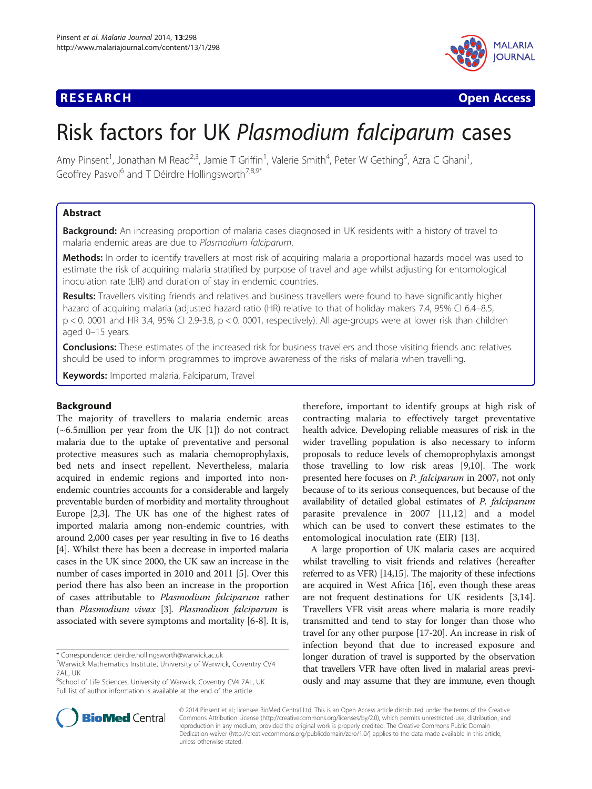## **RESEARCH CHE Open Access**



# Risk factors for UK Plasmodium falciparum cases

Amy Pinsent<sup>1</sup>, Jonathan M Read<sup>2,3</sup>, Jamie T Griffin<sup>1</sup>, Valerie Smith<sup>4</sup>, Peter W Gething<sup>5</sup>, Azra C Ghani<sup>1</sup> , Geoffrey Pasvol<sup>6</sup> and T Déirdre Hollingsworth<sup>7,8,9\*</sup>

## Abstract

**Background:** An increasing proportion of malaria cases diagnosed in UK residents with a history of travel to malaria endemic areas are due to Plasmodium falciparum.

Methods: In order to identify travellers at most risk of acquiring malaria a proportional hazards model was used to estimate the risk of acquiring malaria stratified by purpose of travel and age whilst adjusting for entomological inoculation rate (EIR) and duration of stay in endemic countries.

Results: Travellers visiting friends and relatives and business travellers were found to have significantly higher hazard of acquiring malaria (adjusted hazard ratio (HR) relative to that of holiday makers 7.4, 95% CI 6.4–8.5, p < 0. 0001 and HR 3.4, 95% CI 2.9-3.8, p < 0. 0001, respectively). All age-groups were at lower risk than children aged 0–15 years.

Conclusions: These estimates of the increased risk for business travellers and those visiting friends and relatives should be used to inform programmes to improve awareness of the risks of malaria when travelling.

Keywords: Imported malaria, Falciparum, Travel

## Background

The majority of travellers to malaria endemic areas  $(-6.5$ million per year from the UK [\[1](#page-6-0)]) do not contract malaria due to the uptake of preventative and personal protective measures such as malaria chemoprophylaxis, bed nets and insect repellent. Nevertheless, malaria acquired in endemic regions and imported into nonendemic countries accounts for a considerable and largely preventable burden of morbidity and mortality throughout Europe [[2](#page-6-0),[3](#page-6-0)]. The UK has one of the highest rates of imported malaria among non-endemic countries, with around 2,000 cases per year resulting in five to 16 deaths [[4\]](#page-6-0). Whilst there has been a decrease in imported malaria cases in the UK since 2000, the UK saw an increase in the number of cases imported in 2010 and 2011 [\[5](#page-6-0)]. Over this period there has also been an increase in the proportion of cases attributable to Plasmodium falciparum rather than Plasmodium vivax [[3\]](#page-6-0). Plasmodium falciparum is associated with severe symptoms and mortality [[6](#page-6-0)[-8](#page-7-0)]. It is,

\* Correspondence: [deirdre.hollingsworth@warwick.ac.uk](mailto:deirdre.hollingsworth@warwick.ac.uk) <sup>7</sup>

Warwick Mathematics Institute, University of Warwick, Coventry CV4 7AL, UK <sup>8</sup>School of Life Sciences, University of Warwick, Coventry CV4 7AL, UK

Full list of author information is available at the end of the article

therefore, important to identify groups at high risk of contracting malaria to effectively target preventative health advice. Developing reliable measures of risk in the wider travelling population is also necessary to inform proposals to reduce levels of chemoprophylaxis amongst those travelling to low risk areas [\[9,10\]](#page-7-0). The work presented here focuses on P. falciparum in 2007, not only because of to its serious consequences, but because of the availability of detailed global estimates of P. falciparum parasite prevalence in 2007 [[11,12](#page-7-0)] and a model which can be used to convert these estimates to the entomological inoculation rate (EIR) [\[13](#page-7-0)].

A large proportion of UK malaria cases are acquired whilst travelling to visit friends and relatives (hereafter referred to as VFR) [\[14,15](#page-7-0)]. The majority of these infections are acquired in West Africa [\[16\]](#page-7-0), even though these areas are not frequent destinations for UK residents [[3,](#page-6-0)[14](#page-7-0)]. Travellers VFR visit areas where malaria is more readily transmitted and tend to stay for longer than those who travel for any other purpose [\[17-20\]](#page-7-0). An increase in risk of infection beyond that due to increased exposure and longer duration of travel is supported by the observation that travellers VFR have often lived in malarial areas previously and may assume that they are immune, even though



© 2014 Pinsent et al.; licensee BioMed Central Ltd. This is an Open Access article distributed under the terms of the Creative Commons Attribution License [\(http://creativecommons.org/licenses/by/2.0\)](http://creativecommons.org/licenses/by/2.0), which permits unrestricted use, distribution, and reproduction in any medium, provided the original work is properly credited. The Creative Commons Public Domain Dedication waiver [\(http://creativecommons.org/publicdomain/zero/1.0/](http://creativecommons.org/publicdomain/zero/1.0/)) applies to the data made available in this article, unless otherwise stated.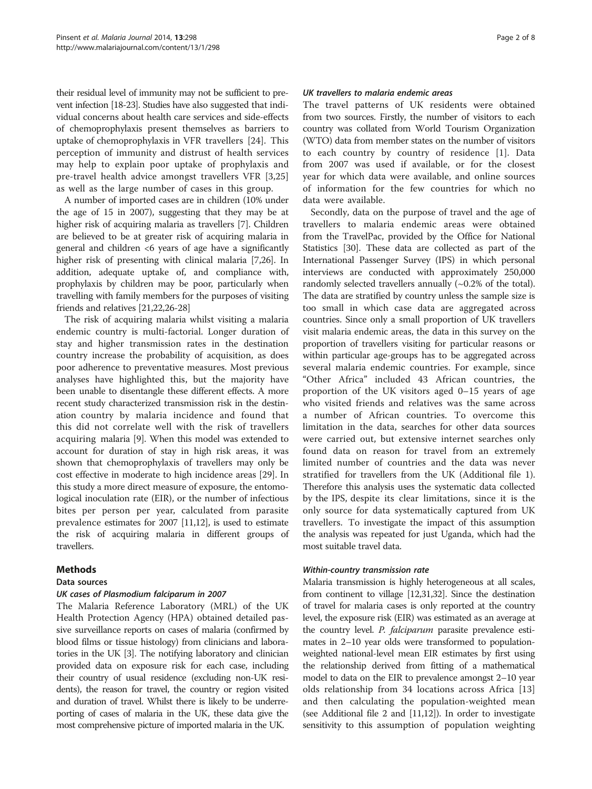their residual level of immunity may not be sufficient to prevent infection [[18-23](#page-7-0)]. Studies have also suggested that individual concerns about health care services and side-effects of chemoprophylaxis present themselves as barriers to uptake of chemoprophylaxis in VFR travellers [\[24](#page-7-0)]. This perception of immunity and distrust of health services may help to explain poor uptake of prophylaxis and pre-travel health advice amongst travellers VFR [\[3](#page-6-0)[,25](#page-7-0)] as well as the large number of cases in this group.

A number of imported cases are in children (10% under the age of 15 in 2007), suggesting that they may be at higher risk of acquiring malaria as travellers [\[7\]](#page-6-0). Children are believed to be at greater risk of acquiring malaria in general and children  $<6$  years of age have a significantly higher risk of presenting with clinical malaria [[7,](#page-6-0)[26](#page-7-0)]. In addition, adequate uptake of, and compliance with, prophylaxis by children may be poor, particularly when travelling with family members for the purposes of visiting friends and relatives [\[21,22,26](#page-7-0)-[28\]](#page-7-0)

The risk of acquiring malaria whilst visiting a malaria endemic country is multi-factorial. Longer duration of stay and higher transmission rates in the destination country increase the probability of acquisition, as does poor adherence to preventative measures. Most previous analyses have highlighted this, but the majority have been unable to disentangle these different effects. A more recent study characterized transmission risk in the destination country by malaria incidence and found that this did not correlate well with the risk of travellers acquiring malaria [\[9](#page-7-0)]. When this model was extended to account for duration of stay in high risk areas, it was shown that chemoprophylaxis of travellers may only be cost effective in moderate to high incidence areas [[29\]](#page-7-0). In this study a more direct measure of exposure, the entomological inoculation rate (EIR), or the number of infectious bites per person per year, calculated from parasite prevalence estimates for 2007 [\[11,12](#page-7-0)], is used to estimate the risk of acquiring malaria in different groups of travellers.

## Methods

## Data sources

## UK cases of Plasmodium falciparum in 2007

The Malaria Reference Laboratory (MRL) of the UK Health Protection Agency (HPA) obtained detailed passive surveillance reports on cases of malaria (confirmed by blood films or tissue histology) from clinicians and laboratories in the UK [[3](#page-6-0)]. The notifying laboratory and clinician provided data on exposure risk for each case, including their country of usual residence (excluding non-UK residents), the reason for travel, the country or region visited and duration of travel. Whilst there is likely to be underreporting of cases of malaria in the UK, these data give the most comprehensive picture of imported malaria in the UK.

#### UK travellers to malaria endemic areas

The travel patterns of UK residents were obtained from two sources. Firstly, the number of visitors to each country was collated from World Tourism Organization (WTO) data from member states on the number of visitors to each country by country of residence [\[1](#page-6-0)]. Data from 2007 was used if available, or for the closest year for which data were available, and online sources of information for the few countries for which no data were available.

Secondly, data on the purpose of travel and the age of travellers to malaria endemic areas were obtained from the TravelPac, provided by the Office for National Statistics [\[30\]](#page-7-0). These data are collected as part of the International Passenger Survey (IPS) in which personal interviews are conducted with approximately 250,000 randomly selected travellers annually (~0.2% of the total). The data are stratified by country unless the sample size is too small in which case data are aggregated across countries. Since only a small proportion of UK travellers visit malaria endemic areas, the data in this survey on the proportion of travellers visiting for particular reasons or within particular age-groups has to be aggregated across several malaria endemic countries. For example, since "Other Africa" included 43 African countries, the proportion of the UK visitors aged 0–15 years of age who visited friends and relatives was the same across a number of African countries. To overcome this limitation in the data, searches for other data sources were carried out, but extensive internet searches only found data on reason for travel from an extremely limited number of countries and the data was never stratified for travellers from the UK (Additional file [1](#page-6-0)). Therefore this analysis uses the systematic data collected by the IPS, despite its clear limitations, since it is the only source for data systematically captured from UK travellers. To investigate the impact of this assumption the analysis was repeated for just Uganda, which had the most suitable travel data.

#### Within-country transmission rate

Malaria transmission is highly heterogeneous at all scales, from continent to village [[12,31,32\]](#page-7-0). Since the destination of travel for malaria cases is only reported at the country level, the exposure risk (EIR) was estimated as an average at the country level. *P. falciparum* parasite prevalence estimates in 2–10 year olds were transformed to populationweighted national-level mean EIR estimates by first using the relationship derived from fitting of a mathematical model to data on the EIR to prevalence amongst 2–10 year olds relationship from 34 locations across Africa [\[13](#page-7-0)] and then calculating the population-weighted mean (see Additional file [2](#page-6-0) and [\[11,12\]](#page-7-0)). In order to investigate sensitivity to this assumption of population weighting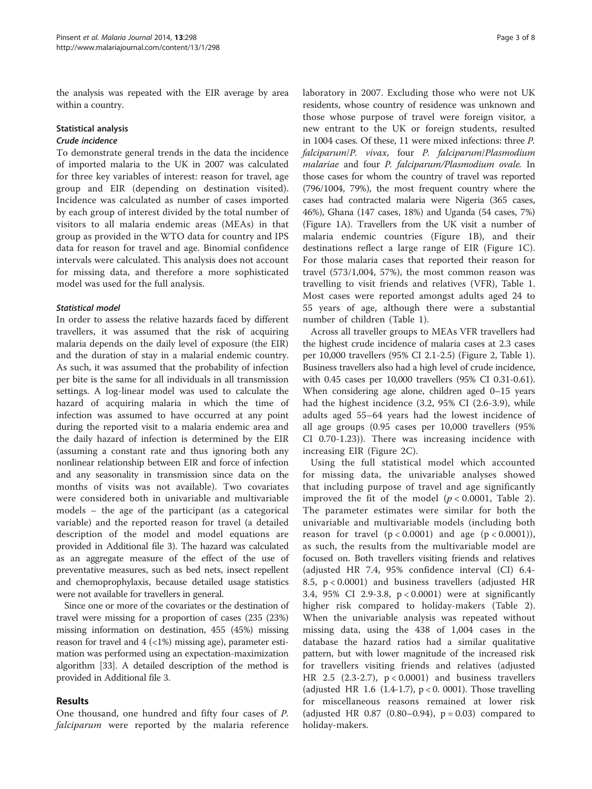the analysis was repeated with the EIR average by area within a country.

## Statistical analysis

#### Crude incidence

To demonstrate general trends in the data the incidence of imported malaria to the UK in 2007 was calculated for three key variables of interest: reason for travel, age group and EIR (depending on destination visited). Incidence was calculated as number of cases imported by each group of interest divided by the total number of visitors to all malaria endemic areas (MEAs) in that group as provided in the WTO data for country and IPS data for reason for travel and age. Binomial confidence intervals were calculated. This analysis does not account for missing data, and therefore a more sophisticated model was used for the full analysis.

## Statistical model

In order to assess the relative hazards faced by different travellers, it was assumed that the risk of acquiring malaria depends on the daily level of exposure (the EIR) and the duration of stay in a malarial endemic country. As such, it was assumed that the probability of infection per bite is the same for all individuals in all transmission settings. A log-linear model was used to calculate the hazard of acquiring malaria in which the time of infection was assumed to have occurred at any point during the reported visit to a malaria endemic area and the daily hazard of infection is determined by the EIR (assuming a constant rate and thus ignoring both any nonlinear relationship between EIR and force of infection and any seasonality in transmission since data on the months of visits was not available). Two covariates were considered both in univariable and multivariable models – the age of the participant (as a categorical variable) and the reported reason for travel (a detailed description of the model and model equations are provided in Additional file [3](#page-6-0)). The hazard was calculated as an aggregate measure of the effect of the use of preventative measures, such as bed nets, insect repellent and chemoprophylaxis, because detailed usage statistics were not available for travellers in general.

Since one or more of the covariates or the destination of travel were missing for a proportion of cases (235 (23%) missing information on destination, 455 (45%) missing reason for travel and 4 (<1%) missing age), parameter estimation was performed using an expectation-maximization algorithm [\[33\]](#page-7-0). A detailed description of the method is provided in Additional file [3](#page-6-0).

## Results

One thousand, one hundred and fifty four cases of P. falciparum were reported by the malaria reference laboratory in 2007. Excluding those who were not UK residents, whose country of residence was unknown and those whose purpose of travel were foreign visitor, a new entrant to the UK or foreign students, resulted in 1004 cases. Of these, 11 were mixed infections: three P. falciparum/P. vivax, four P. falciparum/Plasmodium malariae and four P. falciparum/Plasmodium ovale. In those cases for whom the country of travel was reported (796/1004, 79%), the most frequent country where the cases had contracted malaria were Nigeria (365 cases, 46%), Ghana (147 cases, 18%) and Uganda (54 cases, 7%) (Figure [1A](#page-3-0)). Travellers from the UK visit a number of malaria endemic countries (Figure [1](#page-3-0)B), and their destinations reflect a large range of EIR (Figure [1](#page-3-0)C). For those malaria cases that reported their reason for travel (573/1,004, 57%), the most common reason was travelling to visit friends and relatives (VFR), Table [1](#page-4-0). Most cases were reported amongst adults aged 24 to 55 years of age, although there were a substantial number of children (Table [1](#page-4-0)).

Across all traveller groups to MEAs VFR travellers had the highest crude incidence of malaria cases at 2.3 cases per 10,000 travellers (95% CI 2.1-2.5) (Figure [2](#page-4-0), Table [1](#page-4-0)). Business travellers also had a high level of crude incidence, with 0.45 cases per 10,000 travellers (95% CI 0.31-0.61). When considering age alone, children aged 0–15 years had the highest incidence (3.2, 95% CI (2.6-3.9), while adults aged 55–64 years had the lowest incidence of all age groups (0.95 cases per 10,000 travellers (95% CI 0.70-1.23)). There was increasing incidence with increasing EIR (Figure [2](#page-4-0)C).

Using the full statistical model which accounted for missing data, the univariable analyses showed that including purpose of travel and age significantly improved the fit of the model  $(p < 0.0001,$  Table [2](#page-5-0)). The parameter estimates were similar for both the univariable and multivariable models (including both reason for travel  $(p < 0.0001)$  and age  $(p < 0.0001)$ ), as such, the results from the multivariable model are focused on. Both travellers visiting friends and relatives (adjusted HR 7.4, 95% confidence interval (CI) 6.4- 8.5, p < 0.0001) and business travellers (adjusted HR 3.4, 95% CI 2.9-3.8, p < 0.0001) were at significantly higher risk compared to holiday-makers (Table [2](#page-5-0)). When the univariable analysis was repeated without missing data, using the 438 of 1,004 cases in the database the hazard ratios had a similar qualitative pattern, but with lower magnitude of the increased risk for travellers visiting friends and relatives (adjusted HR 2.5  $(2.3-2.7)$ ,  $p < 0.0001$ ) and business travellers (adjusted HR 1.6 (1.4-1.7), p < 0. 0001). Those travelling for miscellaneous reasons remained at lower risk (adjusted HR  $0.87$  (0.80–0.94),  $p = 0.03$ ) compared to holiday-makers.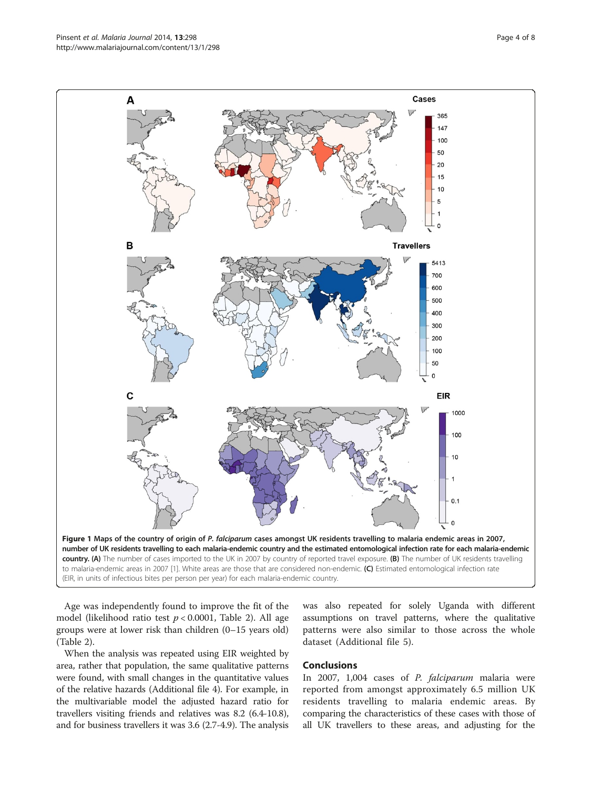Age was independently found to improve the fit of the model (likelihood ratio test  $p < 0.0001$ , Table [2\)](#page-5-0). All age groups were at lower risk than children (0–15 years old) (Table [2\)](#page-5-0).

When the analysis was repeated using EIR weighted by area, rather that population, the same qualitative patterns were found, with small changes in the quantitative values of the relative hazards (Additional file [4\)](#page-6-0). For example, in the multivariable model the adjusted hazard ratio for travellers visiting friends and relatives was 8.2 (6.4-10.8), and for business travellers it was 3.6 (2.7-4.9). The analysis was also repeated for solely Uganda with different assumptions on travel patterns, where the qualitative patterns were also similar to those across the whole dataset (Additional file [5\)](#page-6-0).

#### Conclusions

In 2007, 1,004 cases of P. falciparum malaria were reported from amongst approximately 6.5 million UK residents travelling to malaria endemic areas. By comparing the characteristics of these cases with those of all UK travellers to these areas, and adjusting for the



<span id="page-3-0"></span>http://www.malariajournal.com/content/13/1/298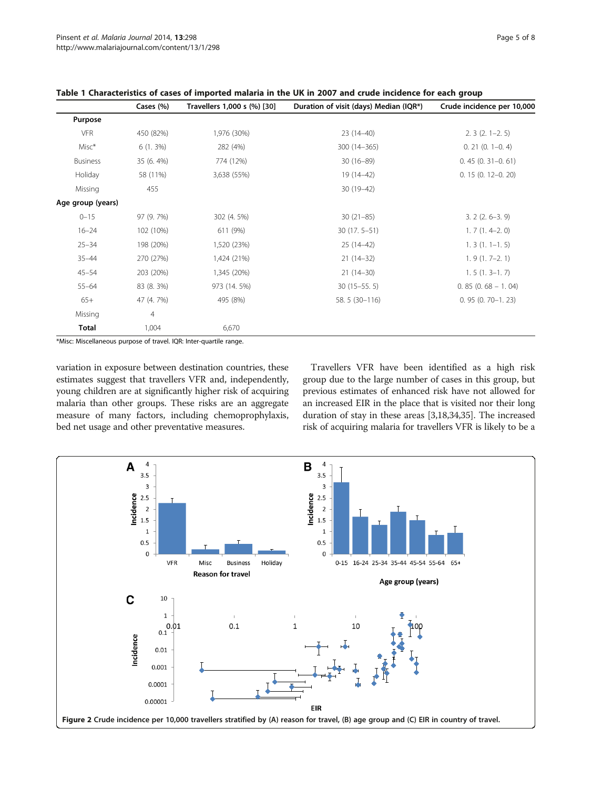|                   | Cases (%)      | Travellers 1,000 s (%) [30] | Duration of visit (days) Median (IQR*) | Crude incidence per 10,000 |  |
|-------------------|----------------|-----------------------------|----------------------------------------|----------------------------|--|
| Purpose           |                |                             |                                        |                            |  |
| <b>VFR</b>        | 450 (82%)      | 1,976 (30%)                 | $23(14-40)$                            | $2.3(2.1-2.5)$             |  |
| Misc*             | 6(1.3%)        | 282 (4%)                    | 300 (14-365)                           | $0.21(0.1-0.4)$            |  |
| <b>Business</b>   | 35 (6. 4%)     | 774 (12%)                   | $30(16-89)$                            | $0.45(0.31-0.61)$          |  |
| Holiday           | 58 (11%)       | 3,638 (55%)                 | $19(14-42)$                            | $0.15(0.12-0.20)$          |  |
| Missing           | 455            |                             | $30(19-42)$                            |                            |  |
| Age group (years) |                |                             |                                        |                            |  |
| $0 - 15$          | 97 (9. 7%)     | 302 (4. 5%)                 | $30(21-85)$                            | $3.2(2.6-3.9)$             |  |
| $16 - 24$         | 102 (10%)      | 611 (9%)                    | $30(17.5-51)$                          | $1.7(1.4-2.0)$             |  |
| $25 - 34$         | 198 (20%)      | 1,520 (23%)                 | $25(14-42)$                            | $1.3(1.1-1.5)$             |  |
| $35 - 44$         | 270 (27%)      | 1,424 (21%)                 | $21(14-32)$                            | $1.9(1.7-2.1)$             |  |
| $45 - 54$         | 203 (20%)      | 1,345 (20%)                 | $21(14-30)$                            | $1.5(1.3-1.7)$             |  |
| $55 - 64$         | 83 (8. 3%)     | 973 (14.5%)                 | $30(15 - 55.5)$                        | $0.85(0.68 - 1.04)$        |  |
| $65+$             | 47 (4. 7%)     | 495 (8%)                    | 58.5 (30-116)                          | $0.95(0.70-1.23)$          |  |
| Missing           | $\overline{4}$ |                             |                                        |                            |  |
| <b>Total</b>      | 1,004          | 6,670                       |                                        |                            |  |

<span id="page-4-0"></span>Table 1 Characteristics of cases of imported malaria in the UK in 2007 and crude incidence for each group

Miscellaneous purpose of travel. IQR: Inter-quartile range.

variation in exposure between destination countries, these estimates suggest that travellers VFR and, independently, young children are at significantly higher risk of acquiring malaria than other groups. These risks are an aggregate measure of many factors, including chemoprophylaxis, bed net usage and other preventative measures.

Travellers VFR have been identified as a high risk group due to the large number of cases in this group, but previous estimates of enhanced risk have not allowed for an increased EIR in the place that is visited nor their long duration of stay in these areas [\[3](#page-6-0)[,18,34,35](#page-7-0)]. The increased risk of acquiring malaria for travellers VFR is likely to be a

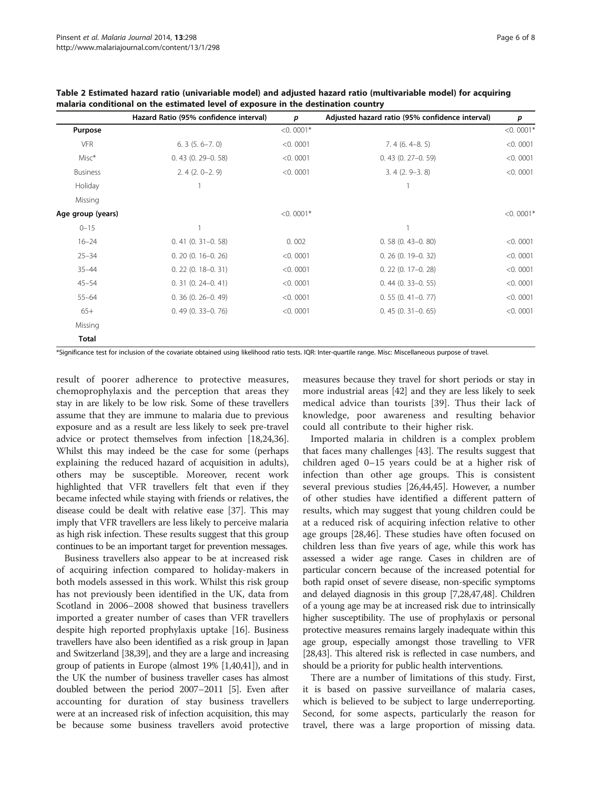|                   | Hazard Ratio (95% confidence interval) | p          | Adjusted hazard ratio (95% confidence interval) | p           |
|-------------------|----------------------------------------|------------|-------------------------------------------------|-------------|
| Purpose           |                                        | $<0.0001*$ |                                                 | $<$ 0.0001* |
| <b>VFR</b>        | $6.3(5.6 - 7.0)$                       | $<$ 0.0001 | $7.4(6.4-8.5)$                                  | $<$ 0.0001  |
| Misc*             | $0.43(0.29-0.58)$                      | $<$ 0.0001 | $0.43(0.27-0.59)$                               | $<$ 0.0001  |
| <b>Business</b>   | $2.4$ $(2.0-2.9)$                      | $<$ 0.0001 | $3.4(2.9-3.8)$                                  | $<$ 0.0001  |
| Holiday           |                                        |            |                                                 |             |
| Missing           |                                        |            |                                                 |             |
| Age group (years) |                                        | $<0.0001*$ |                                                 | $<$ 0.0001* |
| $0 - 15$          |                                        |            |                                                 |             |
| $16 - 24$         | $0.41(0.31-0.58)$                      | 0.002      | $0.58(0.43 - 0.80)$                             | $<$ 0.0001  |
| $25 - 34$         | $0.20(0.16-0.26)$                      | $<$ 0.0001 | $0.26(0.19-0.32)$                               | $<$ 0.0001  |
| $35 - 44$         | $0.22(0.18-0.31)$                      | $<$ 0.0001 | 0. 22 (0. 17-0. 28)                             | $<$ 0.0001  |
| $45 - 54$         | $0.31(0.24-0.41)$                      | $<$ 0.0001 | $0.44(0.33-0.55)$                               | $<$ 0.0001  |
| $55 - 64$         | $0.36(0.26-0.49)$                      | $<$ 0.0001 | $0.55(0.41-0.77)$                               | $<$ 0.0001  |
| $65+$             | $0.49(0.33 - 0.76)$                    | $<$ 0.0001 | $0.45(0.31-0.65)$                               | $<$ 0.0001  |
| Missing           |                                        |            |                                                 |             |
| <b>Total</b>      |                                        |            |                                                 |             |

<span id="page-5-0"></span>Table 2 Estimated hazard ratio (univariable model) and adjusted hazard ratio (multivariable model) for acquiring malaria conditional on the estimated level of exposure in the destination country

\*Significance test for inclusion of the covariate obtained using likelihood ratio tests. IQR: Inter-quartile range. Misc: Miscellaneous purpose of travel.

result of poorer adherence to protective measures, chemoprophylaxis and the perception that areas they stay in are likely to be low risk. Some of these travellers assume that they are immune to malaria due to previous exposure and as a result are less likely to seek pre-travel advice or protect themselves from infection [\[18,24,36](#page-7-0)]. Whilst this may indeed be the case for some (perhaps explaining the reduced hazard of acquisition in adults), others may be susceptible. Moreover, recent work highlighted that VFR travellers felt that even if they became infected while staying with friends or relatives, the disease could be dealt with relative ease [\[37](#page-7-0)]. This may imply that VFR travellers are less likely to perceive malaria as high risk infection. These results suggest that this group continues to be an important target for prevention messages.

Business travellers also appear to be at increased risk of acquiring infection compared to holiday-makers in both models assessed in this work. Whilst this risk group has not previously been identified in the UK, data from Scotland in 2006–2008 showed that business travellers imported a greater number of cases than VFR travellers despite high reported prophylaxis uptake [\[16](#page-7-0)]. Business travellers have also been identified as a risk group in Japan and Switzerland [\[38,39](#page-7-0)], and they are a large and increasing group of patients in Europe (almost 19% [[1,](#page-6-0)[40,41\]](#page-7-0)), and in the UK the number of business traveller cases has almost doubled between the period 2007–2011 [\[5\]](#page-6-0). Even after accounting for duration of stay business travellers were at an increased risk of infection acquisition, this may be because some business travellers avoid protective measures because they travel for short periods or stay in more industrial areas [\[42\]](#page-7-0) and they are less likely to seek medical advice than tourists [[39\]](#page-7-0). Thus their lack of knowledge, poor awareness and resulting behavior could all contribute to their higher risk.

Imported malaria in children is a complex problem that faces many challenges [\[43](#page-7-0)]. The results suggest that children aged 0–15 years could be at a higher risk of infection than other age groups. This is consistent several previous studies [[26,44,45\]](#page-7-0). However, a number of other studies have identified a different pattern of results, which may suggest that young children could be at a reduced risk of acquiring infection relative to other age groups [\[28,46](#page-7-0)]. These studies have often focused on children less than five years of age, while this work has assessed a wider age range. Cases in children are of particular concern because of the increased potential for both rapid onset of severe disease, non-specific symptoms and delayed diagnosis in this group [[7,](#page-6-0)[28,47,48](#page-7-0)]. Children of a young age may be at increased risk due to intrinsically higher susceptibility. The use of prophylaxis or personal protective measures remains largely inadequate within this age group, especially amongst those travelling to VFR [[28,43\]](#page-7-0). This altered risk is reflected in case numbers, and should be a priority for public health interventions.

There are a number of limitations of this study. First, it is based on passive surveillance of malaria cases, which is believed to be subject to large underreporting. Second, for some aspects, particularly the reason for travel, there was a large proportion of missing data.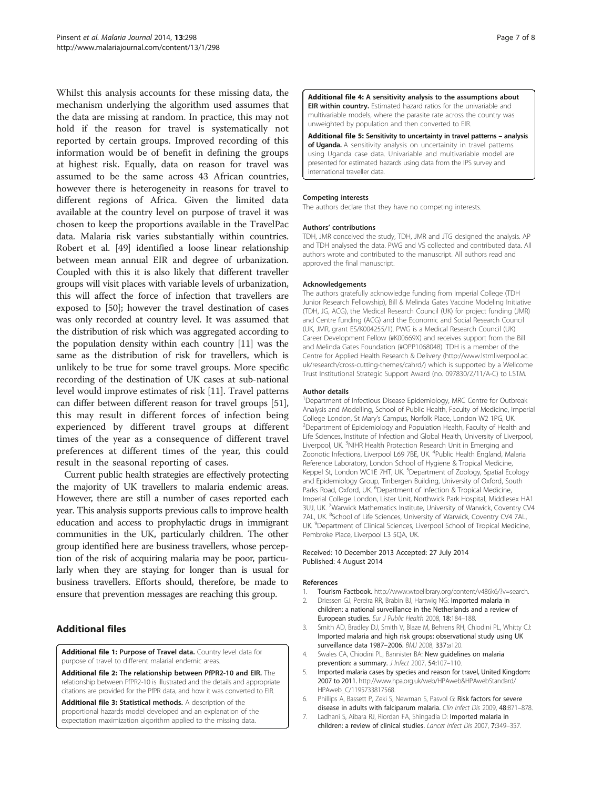<span id="page-6-0"></span>Whilst this analysis accounts for these missing data, the mechanism underlying the algorithm used assumes that the data are missing at random. In practice, this may not hold if the reason for travel is systematically not reported by certain groups. Improved recording of this information would be of benefit in defining the groups at highest risk. Equally, data on reason for travel was assumed to be the same across 43 African countries, however there is heterogeneity in reasons for travel to different regions of Africa. Given the limited data available at the country level on purpose of travel it was chosen to keep the proportions available in the TravelPac data. Malaria risk varies substantially within countries. Robert et al. [\[49\]](#page-7-0) identified a loose linear relationship between mean annual EIR and degree of urbanization. Coupled with this it is also likely that different traveller groups will visit places with variable levels of urbanization, this will affect the force of infection that travellers are exposed to [[50](#page-7-0)]; however the travel destination of cases was only recorded at country level. It was assumed that the distribution of risk which was aggregated according to the population density within each country [\[11\]](#page-7-0) was the same as the distribution of risk for travellers, which is unlikely to be true for some travel groups. More specific recording of the destination of UK cases at sub-national level would improve estimates of risk [\[11\]](#page-7-0). Travel patterns can differ between different reason for travel groups [[51](#page-7-0)], this may result in different forces of infection being experienced by different travel groups at different times of the year as a consequence of different travel preferences at different times of the year, this could result in the seasonal reporting of cases.

Current public health strategies are effectively protecting the majority of UK travellers to malaria endemic areas. However, there are still a number of cases reported each year. This analysis supports previous calls to improve health education and access to prophylactic drugs in immigrant communities in the UK, particularly children. The other group identified here are business travellers, whose perception of the risk of acquiring malaria may be poor, particularly when they are staying for longer than is usual for business travellers. Efforts should, therefore, be made to ensure that prevention messages are reaching this group.

## Additional files

[Additional file 1:](http://www.biomedcentral.com/content/supplementary/1475-2875-13-298-S1.pdf) Purpose of Travel data. Country level data for purpose of travel to different malarial endemic areas.

[Additional file 2:](http://www.biomedcentral.com/content/supplementary/1475-2875-13-298-S2.pdf) The relationship between PfPR2-10 and EIR. The relationship between PfPR2-10 is illustrated and the details and appropriate citations are provided for the PfPR data, and how it was converted to EIR.

[Additional file 3:](http://www.biomedcentral.com/content/supplementary/1475-2875-13-298-S3.pdf) Statistical methods. A description of the proportional hazards model developed and an explanation of the expectation maximization algorithm applied to the missing data.

[Additional file 4:](http://www.biomedcentral.com/content/supplementary/1475-2875-13-298-S4.pdf) A sensitivity analysis to the assumptions about **EIR within country.** Estimated hazard ratios for the univariable and multivariable models, where the parasite rate across the country was unweighted by population and then converted to EIR.

[Additional file 5:](http://www.biomedcentral.com/content/supplementary/1475-2875-13-298-S5.pdf) Sensitivity to uncertainty in travel patterns – analysis of Uganda. A sensitivity analysis on uncertainity in travel patterns using Uganda case data. Univariable and multivariable model are presented for estimated hazards using data from the IPS survey and international traveller data.

#### Competing interests

The authors declare that they have no competing interests.

#### Authors' contributions

TDH, JMR conceived the study, TDH, JMR and JTG designed the analysis. AP and TDH analysed the data. PWG and VS collected and contributed data. All authors wrote and contributed to the manuscript. All authors read and approved the final manuscript.

#### Acknowledgements

The authors gratefully acknowledge funding from Imperial College (TDH Junior Research Fellowship), Bill & Melinda Gates Vaccine Modeling Initiative (TDH, JG, ACG), the Medical Research Council (UK) for project funding (JMR) and Centre funding (ACG) and the Economic and Social Research Council (UK, JMR, grant ES/K004255/1). PWG is a Medical Research Council (UK) Career Development Fellow (#K00669X) and receives support from the Bill and Melinda Gates Foundation (#OPP1068048). TDH is a member of the Centre for Applied Health Research & Delivery ([http://www.lstmliverpool.ac.](http://www.lstmliverpool.ac.uk/research/cross-cutting-themes/cahrd/) [uk/research/cross-cutting-themes/cahrd/\)](http://www.lstmliverpool.ac.uk/research/cross-cutting-themes/cahrd/) which is supported by a Wellcome Trust Institutional Strategic Support Award (no. 097830/Z/11/A-C) to LSTM.

#### Author details

<sup>1</sup>Department of Infectious Disease Epidemiology, MRC Centre for Outbreak Analysis and Modelling, School of Public Health, Faculty of Medicine, Imperial College London, St Mary's Campus, Norfolk Place, London W2 1PG, UK. <sup>2</sup> <sup>2</sup>Department of Epidemiology and Population Health, Faculty of Health and Life Sciences, Institute of Infection and Global Health, University of Liverpool, Liverpool, UK.<sup>3</sup>NIHR Health Protection Research Unit in Emerging and Zoonotic Infections, Liverpool L69 7BE, UK. <sup>4</sup>Public Health England, Malaria Reference Laboratory, London School of Hygiene & Tropical Medicine, Keppel St, London WC1E 7HT, UK. <sup>5</sup>Department of Zoology, Spatial Ecology and Epidemiology Group, Tinbergen Building, University of Oxford, South Parks Road, Oxford, UK. <sup>6</sup>Department of Infection & Tropical Medicine Imperial College London, Lister Unit, Northwick Park Hospital, Middlesex HA1 3UJ, UK. <sup>7</sup>Warwick Mathematics Institute, University of Warwick, Coventry CV4 7AL, UK. <sup>8</sup>School of Life Sciences, University of Warwick, Coventry CV4 7AL, UK. <sup>9</sup>Department of Clinical Sciences, Liverpool School of Tropical Medicine Pembroke Place, Liverpool L3 5QA, UK.

#### Received: 10 December 2013 Accepted: 27 July 2014 Published: 4 August 2014

#### References

- 1. Tourism Factbook. <http://www.wtoelibrary.org/content/v486k6/?v=search>.
- 2. Driessen GJ, Pereira RR, Brabin BJ, Hartwig NG: Imported malaria in children: a national surveillance in the Netherlands and a review of European studies. Eur J Public Health 2008, 18:184–188.
- 3. Smith AD, Bradley DJ, Smith V, Blaze M, Behrens RH, Chiodini PL, Whitty CJ: Imported malaria and high risk groups: observational study using UK surveillance data 1987–2006. BMJ 2008, 337:a120.
- 4. Swales CA, Chiodini PL, Bannister BA: New guidelines on malaria prevention: a summary. J Infect 2007, 54:107–110.
- 5. Imported malaria cases by species and reason for travel, United Kingdom: 2007 to 2011. [http://www.hpa.org.uk/web/HPAweb&HPAwebStandard/](http://www.hpa.org.uk/web/HPAweb&HPAwebStandard/HPAweb_C/1195733817568) [HPAweb\\_C/1195733817568.](http://www.hpa.org.uk/web/HPAweb&HPAwebStandard/HPAweb_C/1195733817568)
- 6. Phillips A, Bassett P, Zeki S, Newman S, Pasvol G: Risk factors for severe disease in adults with falciparum malaria. Clin Infect Dis 2009, 48:871-878.
- 7. Ladhani S, Aibara RJ, Riordan FA, Shingadia D: Imported malaria in children: a review of clinical studies. Lancet Infect Dis 2007, 7:349–357.